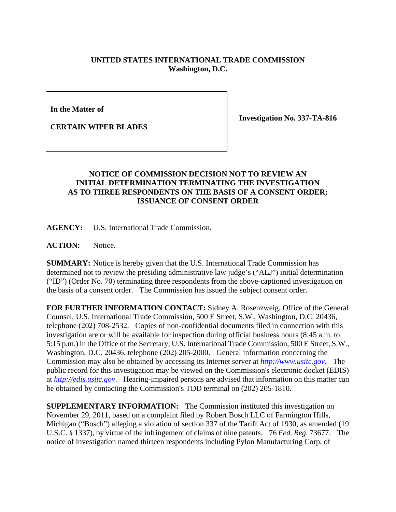## **UNITED STATES INTERNATIONAL TRADE COMMISSION Washington, D.C.**

**In the Matter of** 

**CERTAIN WIPER BLADES** 

**Investigation No. 337-TA-816** 

## **NOTICE OF COMMISSION DECISION NOT TO REVIEW AN INITIAL DETERMINATION TERMINATING THE INVESTIGATION AS TO THREE RESPONDENTS ON THE BASIS OF A CONSENT ORDER; ISSUANCE OF CONSENT ORDER**

**AGENCY:** U.S. International Trade Commission.

**ACTION:** Notice.

**SUMMARY:** Notice is hereby given that the U.S. International Trade Commission has determined not to review the presiding administrative law judge's ("ALJ") initial determination ("ID") (Order No. 70) terminating three respondents from the above-captioned investigation on the basis of a consent order. The Commission has issued the subject consent order.

**FOR FURTHER INFORMATION CONTACT:** Sidney A. Rosenzweig, Office of the General Counsel, U.S. International Trade Commission, 500 E Street, S.W., Washington, D.C. 20436, telephone (202) 708-2532. Copies of non-confidential documents filed in connection with this investigation are or will be available for inspection during official business hours (8:45 a.m. to 5:15 p.m.) in the Office of the Secretary, U.S. International Trade Commission, 500 E Street, S.W., Washington, D.C. 20436, telephone (202) 205-2000. General information concerning the Commission may also be obtained by accessing its Internet server at *http://www.usitc.gov*. The public record for this investigation may be viewed on the Commission's electronic docket (EDIS) at *http://edis.usitc.gov*. Hearing-impaired persons are advised that information on this matter can be obtained by contacting the Commission's TDD terminal on (202) 205-1810.

**SUPPLEMENTARY INFORMATION:** The Commission instituted this investigation on November 29, 2011, based on a complaint filed by Robert Bosch LLC of Farmington Hills, Michigan ("Bosch") alleging a violation of section 337 of the Tariff Act of 1930, as amended (19 U.S.C. § 1337), by virtue of the infringement of claims of nine patents. 76 *Fed. Reg.* 73677. The notice of investigation named thirteen respondents including Pylon Manufacturing Corp. of